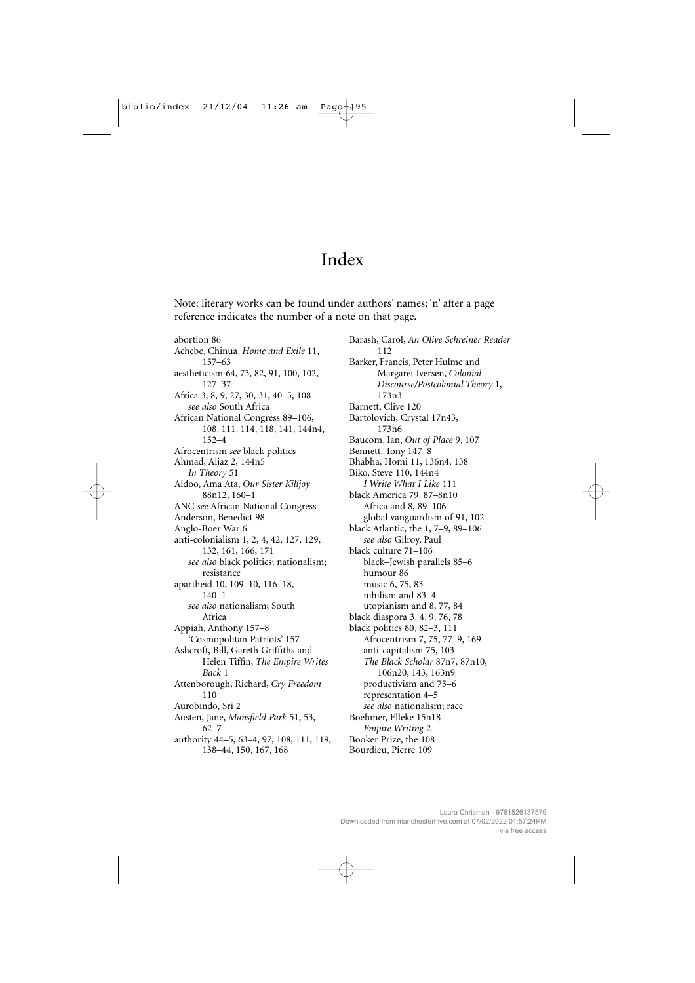## Index

Note: literary works can be found under authors' names; 'n' after a page reference indicates the number of a note on that page.

abortion 86 Achebe, Chinua, *Home and Exile* 11, 157–63 aestheticism 64, 73, 82, 91, 100, 102, 127–37 Africa 3, 8, 9, 27, 30, 31, 40–5, 108 *see also* South Africa African National Congress 89–106, 108, 111, 114, 118, 141, 144n4, 152–4 Afrocentrism *see* black politics Ahmad, Aijaz 2, 144n5 *In Theory* 51 Aidoo, Ama Ata, *Our Sister Killjoy* 88n12, 160–1 ANC *see* African National Congress Anderson, Benedict 98 Anglo-Boer War 6 anti-colonialism 1, 2, 4, 42, 127, 129, 132, 161, 166, 171 *see also* black politics; nationalism; resistance apartheid 10, 109–10, 116–18, 140–1 *see also* nationalism; South Africa Appiah, Anthony 157–8 'Cosmopolitan Patriots' 157 Ashcroft, Bill, Gareth Griffiths and Helen Tiffin, *The Empire Writes Back* 1 Attenborough, Richard, *Cry Freedom* 110 Aurobindo, Sri 2 Austen, Jane, *Mansfield Park* 51, 53, 62–7 authority 44–5, 63–4, 97, 108, 111, 119, 138–44, 150, 167, 168

Barash, Carol, *An Olive Schreiner Reader* 112 Barker, Francis, Peter Hulme and Margaret Iversen, *Colonial Discourse/Postcolonial Theory* 1, 173n3 Barnett, Clive 120 Bartolovich, Crystal 17n43, 173n6 Baucom, Ian, *Out of Place* 9, 107 Bennett, Tony 147–8 Bhabha, Homi 11, 136n4, 138 Biko, Steve 110, 144n4 *I Write What I Like* 111 black America 79, 87–8n10 Africa and 8, 89–106 global vanguardism of 91, 102 black Atlantic, the 1, 7–9, 89–106 *see also* Gilroy, Paul black culture 71–106 black–Jewish parallels 85–6 humour 86 music 6, 75, 83 nihilism and 83–4 utopianism and 8, 77, 84 black diaspora 3, 4, 9, 76, 78 black politics 80, 82–3, 111 Afrocentrism 7, 75, 77–9, 169 anti-capitalism 75, 103 *The Black Scholar* 87n7, 87n10, 106n20, 143, 163n9 productivism and 75–6 representation 4–5 *see also* nationalism; race Boehmer, Elleke 15n18 *Empire Writing* 2 Booker Prize, the 108 Bourdieu, Pierre 109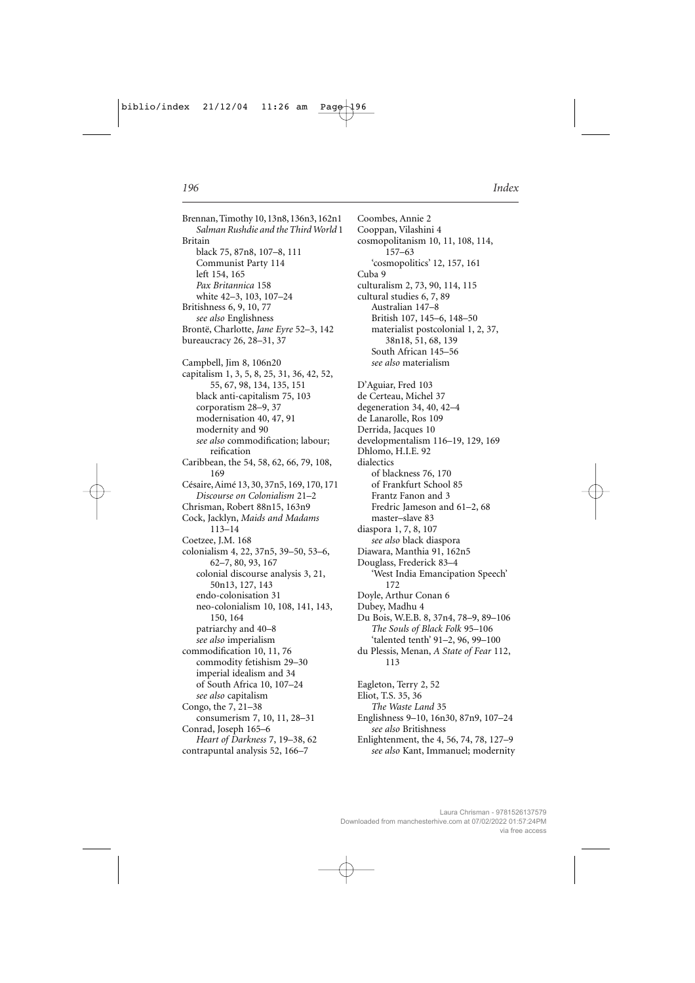Brennan, Timothy 10, 13n8, 136n3, 162n1 *Salman Rushdie and the Third World* 1 Britain black 75, 87n8, 107–8, 111 Communist Party 114 left 154, 165 *Pax Britannica* 158 white 42–3, 103, 107–24 Britishness 6, 9, 10, 77 *see also* Englishness Brontë, Charlotte, *Jane Eyre* 52–3, 142 bureaucracy 26, 28–31, 37 Campbell, Jim 8, 106n20 capitalism 1, 3, 5, 8, 25, 31, 36, 42, 52, 55, 67, 98, 134, 135, 151 black anti-capitalism 75, 103 corporatism 28–9, 37 modernisation 40, 47, 91 modernity and 90 *see also* commodification; labour; reification Caribbean, the 54, 58, 62, 66, 79, 108, 169 Césaire, Aimé 13, 30, 37n5, 169, 170, 171 *Discourse on Colonialism* 21–2 Chrisman, Robert 88n15, 163n9 Cock, Jacklyn, *Maids and Madams* 113–14 Coetzee, J.M. 168 colonialism 4, 22, 37n5, 39–50, 53–6, 62–7, 80, 93, 167 colonial discourse analysis 3, 21, 50n13, 127, 143 endo-colonisation 31 neo-colonialism 10, 108, 141, 143, 150, 164 patriarchy and 40–8 *see also* imperialism commodification 10, 11, 76 commodity fetishism 29–30 imperial idealism and 34 of South Africa 10, 107–24 *see also* capitalism Congo, the 7, 21–38 consumerism 7, 10, 11, 28–31 Conrad, Joseph 165–6 *Heart of Darkness* 7, 19–38, 62 contrapuntal analysis 52, 166–7

Coombes, Annie 2 Cooppan, Vilashini 4 cosmopolitanism 10, 11, 108, 114, 157–63 'cosmopolitics' 12, 157, 161 Cuba 9 culturalism 2, 73, 90, 114, 115 cultural studies 6, 7, 89 Australian 147–8 British 107, 145–6, 148–50 materialist postcolonial 1, 2, 37, 38n18, 51, 68, 139 South African 145–56 *see also* materialism D'Aguiar, Fred 103 de Certeau, Michel 37 degeneration 34, 40, 42–4 de Lanarolle, Ros 109 Derrida, Jacques 10 developmentalism 116–19, 129, 169 Dhlomo, H.I.E. 92 dialectics of blackness 76, 170 of Frankfurt School 85 Frantz Fanon and 3 Fredric Jameson and 61–2, 68 master–slave 83 diaspora 1, 7, 8, 107 *see also* black diaspora Diawara, Manthia 91, 162n5 Douglass, Frederick 83–4 'West India Emancipation Speech' 172 Doyle, Arthur Conan 6 Dubey, Madhu 4 Du Bois, W.E.B. 8, 37n4, 78–9, 89–106 *The Souls of Black Folk* 95–106 'talented tenth' 91–2, 96, 99–100 du Plessis, Menan, *A State of Fear* 112, 113 Eagleton, Terry 2, 52 Eliot, T.S. 35, 36 *The Waste Land* 35 Englishness 9–10, 16n30, 87n9, 107–24 *see also* Britishness Enlightenment, the 4, 56, 74, 78, 127–9 *see also* Kant, Immanuel; modernity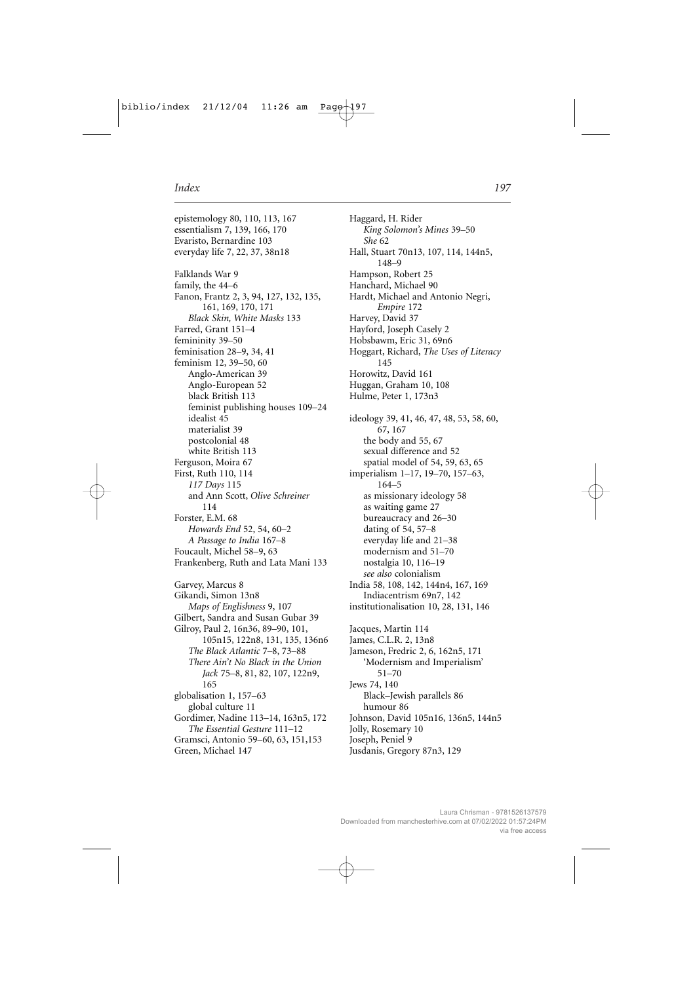epistemology 80, 110, 113, 167 essentialism 7, 139, 166, 170 Evaristo, Bernardine 103 everyday life 7, 22, 37, 38n18 Falklands War 9 family, the 44–6 Fanon, Frantz 2, 3, 94, 127, 132, 135, 161, 169, 170, 171 *Black Skin, White Masks* 133 Farred, Grant 151–4 femininity 39–50 feminisation 28–9, 34, 41 feminism 12, 39–50, 60 Anglo-American 39 Anglo-European 52 black British 113 feminist publishing houses 109–24 idealist 45 materialist 39 postcolonial 48 white British 113 Ferguson, Moira 67 First, Ruth 110, 114 *117 Days* 115 and Ann Scott, *Olive Schreiner* 114 Forster, E.M. 68 *Howards End* 52, 54, 60–2 *A Passage to India* 167–8 Foucault, Michel 58–9, 63 Frankenberg, Ruth and Lata Mani 133 Garvey, Marcus 8 Gikandi, Simon 13n8 *Maps of Englishness* 9, 107 Gilbert, Sandra and Susan Gubar 39 Gilroy, Paul 2, 16n36, 89–90, 101, 105n15, 122n8, 131, 135, 136n6 *The Black Atlantic* 7–8, 73–88 *There Ain't No Black in the Union Jack* 75–8, 81, 82, 107, 122n9, 165 globalisation 1, 157–63 global culture 11 Gordimer, Nadine 113–14, 163n5, 172 *The Essential Gesture* 111–12 Gramsci, Antonio 59–60, 63, 151,153

Green, Michael 147

Haggard, H. Rider *King Solomon's Mines* 39–50 *She* 62 Hall, Stuart 70n13, 107, 114, 144n5, 148–9 Hampson, Robert 25 Hanchard, Michael 90 Hardt, Michael and Antonio Negri, *Empire* 172 Harvey, David 37 Hayford, Joseph Casely 2 Hobsbawm, Eric 31, 69n6 Hoggart, Richard, *The Uses of Literacy* 145 Horowitz, David 161 Huggan, Graham 10, 108 Hulme, Peter 1, 173n3 ideology 39, 41, 46, 47, 48, 53, 58, 60, 67, 167 the body and 55, 67 sexual difference and 52 spatial model of 54, 59, 63, 65 imperialism 1–17, 19–70, 157–63, 164–5 as missionary ideology 58 as waiting game 27 bureaucracy and 26–30 dating of 54, 57–8 everyday life and 21–38 modernism and 51–70 nostalgia 10, 116–19 *see also* colonialism India 58, 108, 142, 144n4, 167, 169 Indiacentrism 69n7, 142 institutionalisation 10, 28, 131, 146 Jacques, Martin 114 James, C.L.R. 2, 13n8 Jameson, Fredric 2, 6, 162n5, 171 'Modernism and Imperialism' 51–70 Jews 74, 140 Black–Jewish parallels 86 humour 86 Johnson, David 105n16, 136n5, 144n5 Jolly, Rosemary 10 Joseph, Peniel 9 Jusdanis, Gregory 87n3, 129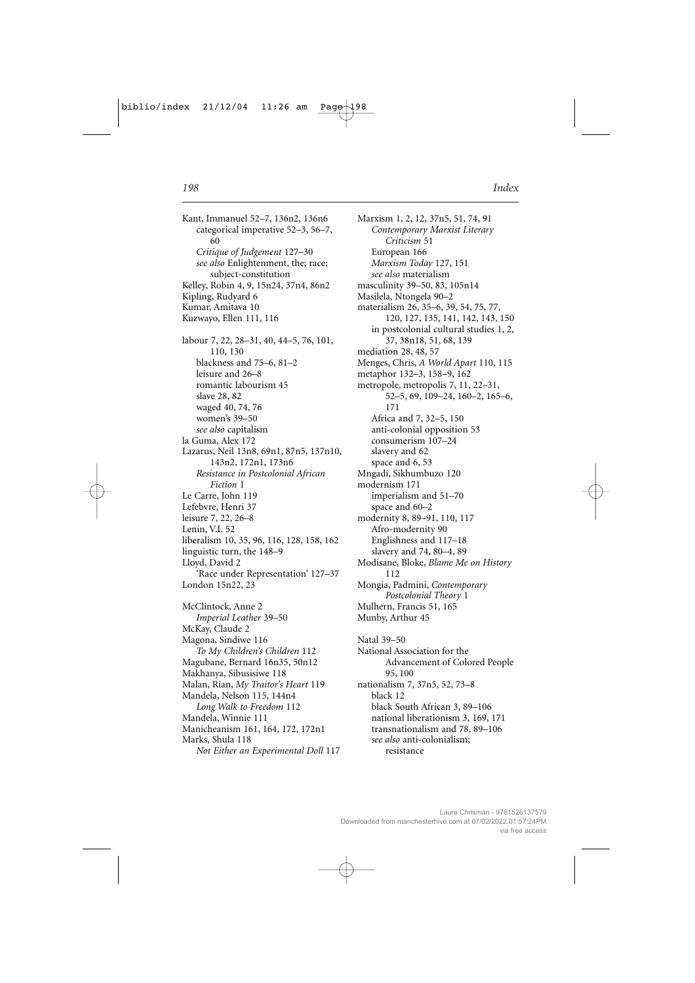Kant, Immanuel 52-7, 136n2, 136n6 categorical imperative 52-3, 56-7, 60 Critique of Judgement 127-30 see also Enlightenment, the; race; subject-constitution Kelley, Robin 4, 9, 15n24, 37n4, 86n2 Kipling, Rudyard 6 Kumar, Amitava 10 Kuzwayo, Ellen 111, 116 labour 7, 22, 28–31, 40, 44–5, 76, 101, 110, 130 blackness and  $75-6$ ,  $81-2$ leisure and 26-8 romantic labourism 45 slave 28, 82 waged 40, 74, 76 women's 39-50 see also capitalism la Guma, Alex 172 Lazarus, Neil 13n8, 69n1, 87n5, 137n10, 143n2, 172n1, 173n6 Resistance in Postcolonial African Fiction 1 Le Carre, John 119 Lefebvre, Henri 37 leisure 7, 22, 26-8 Lenin, V.I. 52 liberalism 10, 35, 96, 116, 128, 158, 162 linguistic turn, the 148-9 Lloyd, David 2 'Race under Representation' 127-37 London 15n22, 23 McClintock, Anne 2 Imperial Leather 39-50 McKay, Claude 2 Magona, Sindiwe 116 To My Children's Children 112 Magubane, Bernard 16n35, 50n12 Makhanya, Sibusisiwe 118 Malan, Rian, My Traitor's Heart 119 Mandela, Nelson 115, 144n4 Long Walk to Freedom 112 Mandela, Winnie 111 Manicheanism 161, 164, 172, 172n1 Marks, Shula 118 Not Either an Experimental Doll 117

Marxism 1, 2, 12, 37n5, 51, 74, 91 Contemporary Marxist Literary Criticism 51 European 166 Marxism Today 127, 151 see also materialism masculinity 39-50, 83, 105n14 Masilela, Ntongela 90-2 materialism 26, 35-6, 39, 54, 75, 77, 120, 127, 135, 141, 142, 143, 150 in postcolonial cultural studies 1, 2, 37, 38n18, 51, 68, 139 mediation 28, 48, 57 Menges, Chris, A World Apart 110, 115 metaphor 132-3, 158-9, 162 metropole, metropolis 7, 11, 22–31, 52-5, 69, 109-24, 160-2, 165-6, 171 Africa and 7, 32-5, 150 anti-colonial opposition 53 consumerism 107-24 slavery and 62 space and 6, 53 Mngadi, Sikhumbuzo 120 modernism 171 imperialism and 51-70 space and 60-2 modernity 8, 89-91, 110, 117 Afro-modernity 90 Englishness and 117-18 slavery and 74, 80-4, 89 Modisane, Bloke, Blame Me on History 112 Mongia, Padmini, Contemporary Postcolonial Theory 1 Mulhern, Francis 51, 165 Munby, Arthur 45 Natal 39-50 National Association for the Advancement of Colored People 95, 100

nationalism 7, 37n5, 52, 73-8 black 12 black South African 3, 89-106 national liberationism 3, 169, 171 transnationalism and 78, 89-106 see also anti-colonialism; resistance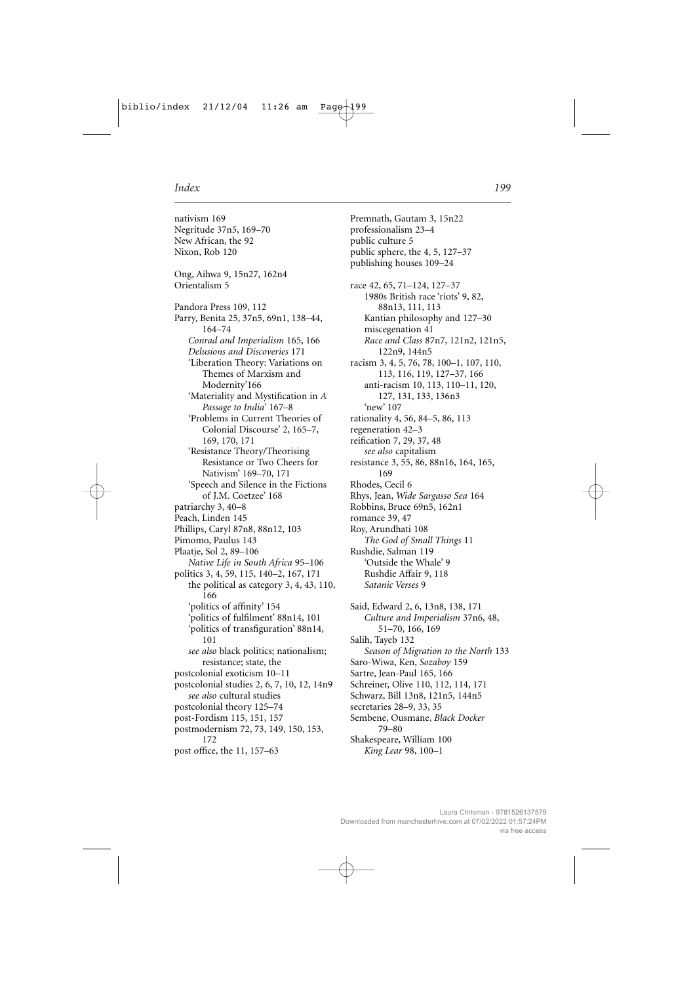nativism 169 Negritude 37n5, 169–70 New African, the 92 Nixon, Rob 120 Ong, Aihwa 9, 15n27, 162n4 Orientalism 5 Pandora Press 109, 112 Parry, Benita 25, 37n5, 69n1, 138–44, 164–74 *Conrad and Imperialism* 165, 166 *Delusions and Discoveries* 171 'Liberation Theory: Variations on Themes of Marxism and Modernity'166 'Materiality and Mystification in *A Passage to India*' 167–8 'Problems in Current Theories of Colonial Discourse' 2, 165–7, 169, 170, 171 'Resistance Theory/Theorising Resistance or Two Cheers for Nativism' 169–70, 171 'Speech and Silence in the Fictions of J.M. Coetzee' 168 patriarchy 3, 40–8 Peach, Linden 145 Phillips, Caryl 87n8, 88n12, 103 Pimomo, Paulus 143 Plaatje, Sol 2, 89–106 *Native Life in South Africa* 95–106 politics 3, 4, 59, 115, 140–2, 167, 171 the political as category 3, 4, 43, 110, 166 'politics of affinity' 154 'politics of fulfilment' 88n14, 101 'politics of transfiguration' 88n14, 101 *see also* black politics; nationalism; resistance; state, the postcolonial exoticism 10–11 postcolonial studies 2, 6, 7, 10, 12, 14n9 *see also* cultural studies postcolonial theory 125–74 post-Fordism 115, 151, 157 postmodernism 72, 73, 149, 150, 153, 172 post office, the 11, 157–63

Premnath, Gautam 3, 15n22 professionalism 23–4 public culture 5 public sphere, the 4, 5, 127–37 publishing houses 109–24 race 42, 65, 71–124, 127–37 1980s British race 'riots' 9, 82, 88n13, 111, 113 Kantian philosophy and 127–30 miscegenation 41 *Race and Class* 87n7, 121n2, 121n5, 122n9, 144n5 racism 3, 4, 5, 76, 78, 100–1, 107, 110, 113, 116, 119, 127–37, 166 anti-racism 10, 113, 110–11, 120, 127, 131, 133, 136n3 'new' 107 rationality 4, 56, 84–5, 86, 113 regeneration 42–3 reification 7, 29, 37, 48 *see also* capitalism resistance 3, 55, 86, 88n16, 164, 165, 169 Rhodes, Cecil 6 Rhys, Jean, *Wide Sargasso Sea* 164 Robbins, Bruce 69n5, 162n1 romance 39, 47 Roy, Arundhati 108 *The God of Small Things* 11 Rushdie, Salman 119 'Outside the Whale' 9 Rushdie Affair 9, 118 *Satanic Verses* 9 Said, Edward 2, 6, 13n8, 138, 171 *Culture and Imperialism* 37n6, 48, 51–70, 166, 169 Salih, Tayeb 132 *Season of Migration to the North* 133 Saro-Wiwa, Ken, *Sozaboy* 159 Sartre, Jean-Paul 165, 166 Schreiner, Olive 110, 112, 114, 171 Schwarz, Bill 13n8, 121n5, 144n5 secretaries 28–9, 33, 35 Sembene, Ousmane, *Black Docker* 79–80 Shakespeare, William 100

*King Lear* 98, 100–1